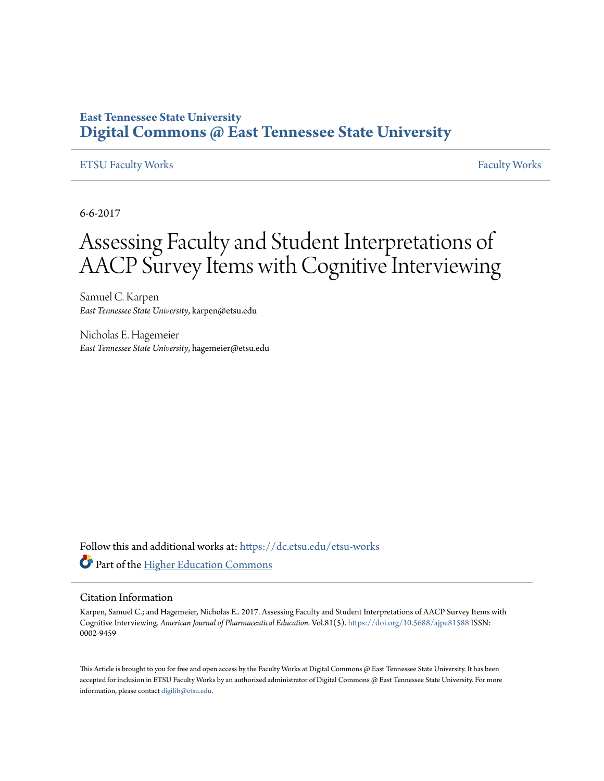### **East Tennessee State University [Digital Commons @ East Tennessee State University](https://dc.etsu.edu?utm_source=dc.etsu.edu%2Fetsu-works%2F1482&utm_medium=PDF&utm_campaign=PDFCoverPages)**

### [ETSU Faculty Works](https://dc.etsu.edu/etsu-works?utm_source=dc.etsu.edu%2Fetsu-works%2F1482&utm_medium=PDF&utm_campaign=PDFCoverPages) [Faculty Works](https://dc.etsu.edu/faculty-works?utm_source=dc.etsu.edu%2Fetsu-works%2F1482&utm_medium=PDF&utm_campaign=PDFCoverPages)

6-6-2017

# Assessing Faculty and Student Interpretations of AACP Survey Items with Cognitive Interviewing

Samuel C. Karpen *East Tennessee State University*, karpen@etsu.edu

Nicholas E. Hagemeier *East Tennessee State University*, hagemeier@etsu.edu

Follow this and additional works at: [https://dc.etsu.edu/etsu-works](https://dc.etsu.edu/etsu-works?utm_source=dc.etsu.edu%2Fetsu-works%2F1482&utm_medium=PDF&utm_campaign=PDFCoverPages) Part of the [Higher Education Commons](http://network.bepress.com/hgg/discipline/1245?utm_source=dc.etsu.edu%2Fetsu-works%2F1482&utm_medium=PDF&utm_campaign=PDFCoverPages)

#### Citation Information

Karpen, Samuel C.; and Hagemeier, Nicholas E.. 2017. Assessing Faculty and Student Interpretations of AACP Survey Items with Cognitive Interviewing. *American Journal of Pharmaceutical Education*. Vol.81(5). <https://doi.org/10.5688/ajpe81588> ISSN: 0002-9459

This Article is brought to you for free and open access by the Faculty Works at Digital Commons  $\varpi$  East Tennessee State University. It has been accepted for inclusion in ETSU Faculty Works by an authorized administrator of Digital Commons @ East Tennessee State University. For more information, please contact [digilib@etsu.edu.](mailto:digilib@etsu.edu)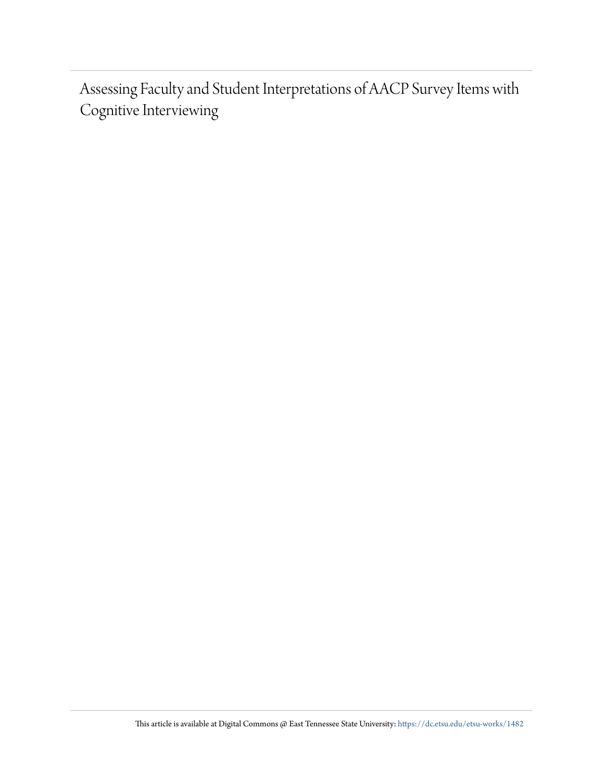Assessing Faculty and Student Interpretations of AACP Survey Items with Cognitive Interviewing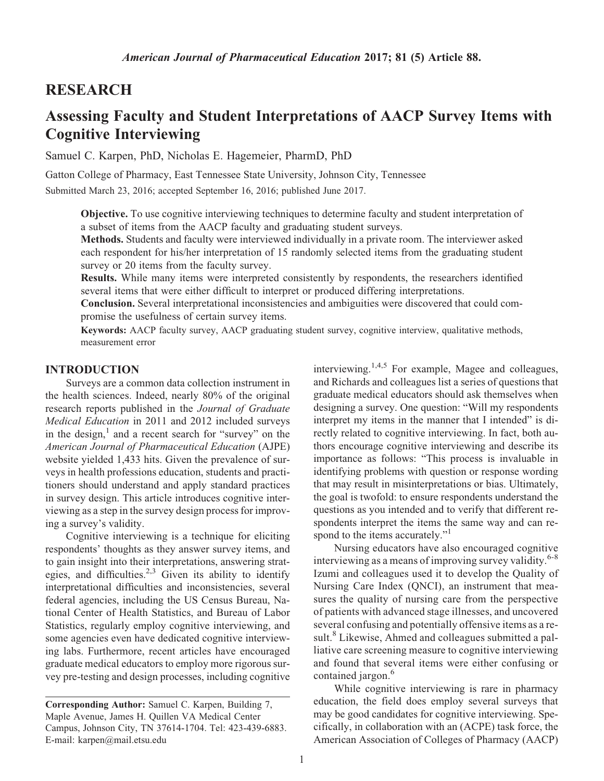### RESEARCH

# Assessing Faculty and Student Interpretations of AACP Survey Items with Cognitive Interviewing

Samuel C. Karpen, PhD, Nicholas E. Hagemeier, PharmD, PhD

Gatton College of Pharmacy, East Tennessee State University, Johnson City, Tennessee Submitted March 23, 2016; accepted September 16, 2016; published June 2017.

Objective. To use cognitive interviewing techniques to determine faculty and student interpretation of a subset of items from the AACP faculty and graduating student surveys.

Methods. Students and faculty were interviewed individually in a private room. The interviewer asked each respondent for his/her interpretation of 15 randomly selected items from the graduating student survey or 20 items from the faculty survey.

Results. While many items were interpreted consistently by respondents, the researchers identified several items that were either difficult to interpret or produced differing interpretations.

Conclusion. Several interpretational inconsistencies and ambiguities were discovered that could compromise the usefulness of certain survey items.

Keywords: AACP faculty survey, AACP graduating student survey, cognitive interview, qualitative methods, measurement error

#### INTRODUCTION

Surveys are a common data collection instrument in the health sciences. Indeed, nearly 80% of the original research reports published in the Journal of Graduate Medical Education in 2011 and 2012 included surveys in the design, $\frac{1}{x}$  and a recent search for "survey" on the American Journal of Pharmaceutical Education (AJPE) website yielded 1,433 hits. Given the prevalence of surveys in health professions education, students and practitioners should understand and apply standard practices in survey design. This article introduces cognitive interviewing as a step in the survey design process for improving a survey's validity.

Cognitive interviewing is a technique for eliciting respondents' thoughts as they answer survey items, and to gain insight into their interpretations, answering strategies, and difficulties.<sup>2,3</sup> Given its ability to identify interpretational difficulties and inconsistencies, several federal agencies, including the US Census Bureau, National Center of Health Statistics, and Bureau of Labor Statistics, regularly employ cognitive interviewing, and some agencies even have dedicated cognitive interviewing labs. Furthermore, recent articles have encouraged graduate medical educators to employ more rigorous survey pre-testing and design processes, including cognitive interviewing.<sup>1,4,5</sup> For example, Magee and colleagues, and Richards and colleagues list a series of questions that graduate medical educators should ask themselves when designing a survey. One question: "Will my respondents interpret my items in the manner that I intended" is directly related to cognitive interviewing. In fact, both authors encourage cognitive interviewing and describe its importance as follows: "This process is invaluable in identifying problems with question or response wording that may result in misinterpretations or bias. Ultimately, the goal is twofold: to ensure respondents understand the questions as you intended and to verify that different respondents interpret the items the same way and can respond to the items accurately."<sup>1</sup>

Nursing educators have also encouraged cognitive interviewing as a means of improving survey validity.<sup>6-8</sup> Izumi and colleagues used it to develop the Quality of Nursing Care Index (QNCI), an instrument that measures the quality of nursing care from the perspective of patients with advanced stage illnesses, and uncovered several confusing and potentially offensive items as a result.<sup>8</sup> Likewise, Ahmed and colleagues submitted a palliative care screening measure to cognitive interviewing and found that several items were either confusing or contained jargon.<sup>6</sup>

While cognitive interviewing is rare in pharmacy education, the field does employ several surveys that may be good candidates for cognitive interviewing. Specifically, in collaboration with an (ACPE) task force, the American Association of Colleges of Pharmacy (AACP)

Corresponding Author: Samuel C. Karpen, Building 7, Maple Avenue, James H. Quillen VA Medical Center Campus, Johnson City, TN 37614-1704. Tel: 423-439-6883. E-mail: [karpen@mail.etsu.edu](mailto:karpen@mail.etsu.edu)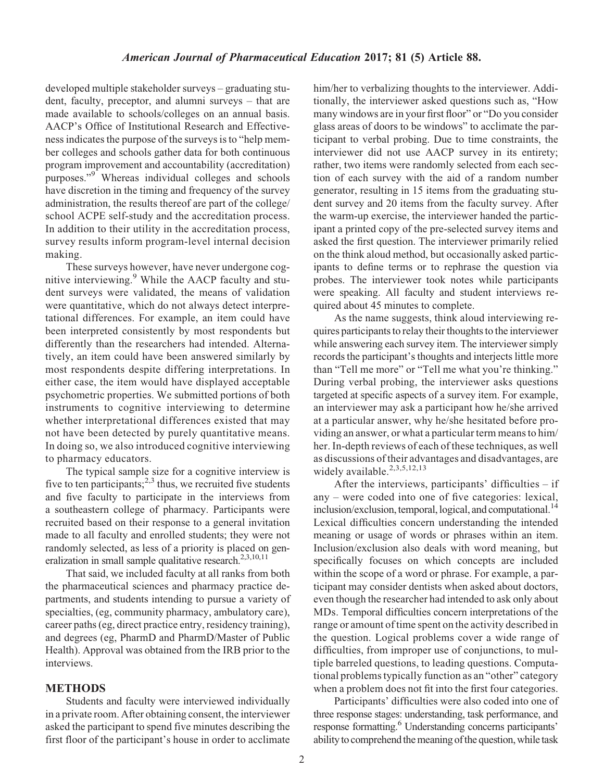developed multiple stakeholder surveys – graduating student, faculty, preceptor, and alumni surveys – that are made available to schools/colleges on an annual basis. AACP's Office of Institutional Research and Effectiveness indicates the purpose of the surveys is to "help member colleges and schools gather data for both continuous program improvement and accountability (accreditation) purposes."9 Whereas individual colleges and schools have discretion in the timing and frequency of the survey administration, the results thereof are part of the college/ school ACPE self-study and the accreditation process. In addition to their utility in the accreditation process, survey results inform program-level internal decision making.

These surveys however, have never undergone cognitive interviewing. $9$  While the AACP faculty and student surveys were validated, the means of validation were quantitative, which do not always detect interpretational differences. For example, an item could have been interpreted consistently by most respondents but differently than the researchers had intended. Alternatively, an item could have been answered similarly by most respondents despite differing interpretations. In either case, the item would have displayed acceptable psychometric properties. We submitted portions of both instruments to cognitive interviewing to determine whether interpretational differences existed that may not have been detected by purely quantitative means. In doing so, we also introduced cognitive interviewing to pharmacy educators.

The typical sample size for a cognitive interview is five to ten participants;  $2,3$  thus, we recruited five students and five faculty to participate in the interviews from a southeastern college of pharmacy. Participants were recruited based on their response to a general invitation made to all faculty and enrolled students; they were not randomly selected, as less of a priority is placed on generalization in small sample qualitative research.<sup>2,3,10,11</sup>

That said, we included faculty at all ranks from both the pharmaceutical sciences and pharmacy practice departments, and students intending to pursue a variety of specialties, (eg, community pharmacy, ambulatory care), career paths (eg, direct practice entry, residency training), and degrees (eg, PharmD and PharmD/Master of Public Health). Approval was obtained from the IRB prior to the interviews.

### METHODS

Students and faculty were interviewed individually in a private room. After obtaining consent, the interviewer asked the participant to spend five minutes describing the first floor of the participant's house in order to acclimate him/her to verbalizing thoughts to the interviewer. Additionally, the interviewer asked questions such as, "How many windows are in your first floor" or "Do you consider glass areas of doors to be windows" to acclimate the participant to verbal probing. Due to time constraints, the interviewer did not use AACP survey in its entirety; rather, two items were randomly selected from each section of each survey with the aid of a random number generator, resulting in 15 items from the graduating student survey and 20 items from the faculty survey. After the warm-up exercise, the interviewer handed the participant a printed copy of the pre-selected survey items and asked the first question. The interviewer primarily relied on the think aloud method, but occasionally asked participants to define terms or to rephrase the question via probes. The interviewer took notes while participants were speaking. All faculty and student interviews required about 45 minutes to complete.

As the name suggests, think aloud interviewing requires participants to relay their thoughts to the interviewer while answering each survey item. The interviewer simply records the participant's thoughts and interjects little more than "Tell me more" or "Tell me what you're thinking." During verbal probing, the interviewer asks questions targeted at specific aspects of a survey item. For example, an interviewer may ask a participant how he/she arrived at a particular answer, why he/she hesitated before providing an answer, or what a particular term means to him/ her. In-depth reviews of each of these techniques, as well as discussions of their advantages and disadvantages, are widely available.<sup>2,3,5,12,13</sup>

After the interviews, participants' difficulties  $-$  if any – were coded into one of five categories: lexical, inclusion/exclusion, temporal, logical, and computational.<sup>14</sup> Lexical difficulties concern understanding the intended meaning or usage of words or phrases within an item. Inclusion/exclusion also deals with word meaning, but specifically focuses on which concepts are included within the scope of a word or phrase. For example, a participant may consider dentists when asked about doctors, even though the researcher had intended to ask only about MDs. Temporal difficulties concern interpretations of the range or amount of time spent on the activity described in the question. Logical problems cover a wide range of difficulties, from improper use of conjunctions, to multiple barreled questions, to leading questions. Computational problems typically function as an "other" category when a problem does not fit into the first four categories.

Participants' difficulties were also coded into one of three response stages: understanding, task performance, and response formatting.<sup>6</sup> Understanding concerns participants' ability to comprehend the meaning of the question, while task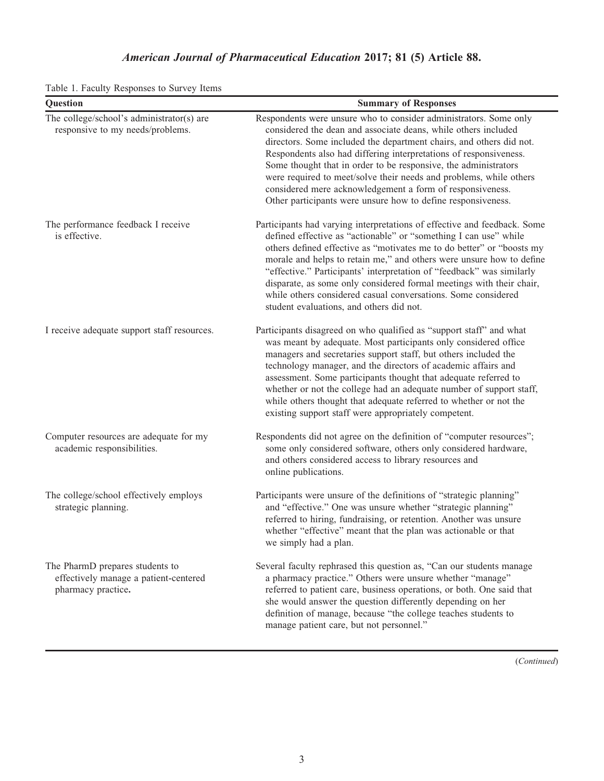| Question                                                                                       | <b>Summary of Responses</b>                                                                                                                                                                                                                                                                                                                                                                                                                                                                                                                                 |
|------------------------------------------------------------------------------------------------|-------------------------------------------------------------------------------------------------------------------------------------------------------------------------------------------------------------------------------------------------------------------------------------------------------------------------------------------------------------------------------------------------------------------------------------------------------------------------------------------------------------------------------------------------------------|
| The college/school's administrator(s) are<br>responsive to my needs/problems.                  | Respondents were unsure who to consider administrators. Some only<br>considered the dean and associate deans, while others included<br>directors. Some included the department chairs, and others did not.<br>Respondents also had differing interpretations of responsiveness.<br>Some thought that in order to be responsive, the administrators<br>were required to meet/solve their needs and problems, while others<br>considered mere acknowledgement a form of responsiveness.<br>Other participants were unsure how to define responsiveness.       |
| The performance feedback I receive<br>is effective.                                            | Participants had varying interpretations of effective and feedback. Some<br>defined effective as "actionable" or "something I can use" while<br>others defined effective as "motivates me to do better" or "boosts my<br>morale and helps to retain me," and others were unsure how to define<br>"effective." Participants' interpretation of "feedback" was similarly<br>disparate, as some only considered formal meetings with their chair,<br>while others considered casual conversations. Some considered<br>student evaluations, and others did not. |
| I receive adequate support staff resources.                                                    | Participants disagreed on who qualified as "support staff" and what<br>was meant by adequate. Most participants only considered office<br>managers and secretaries support staff, but others included the<br>technology manager, and the directors of academic affairs and<br>assessment. Some participants thought that adequate referred to<br>whether or not the college had an adequate number of support staff,<br>while others thought that adequate referred to whether or not the<br>existing support staff were appropriately competent.           |
| Computer resources are adequate for my<br>academic responsibilities.                           | Respondents did not agree on the definition of "computer resources";<br>some only considered software, others only considered hardware,<br>and others considered access to library resources and<br>online publications.                                                                                                                                                                                                                                                                                                                                    |
| The college/school effectively employs<br>strategic planning.                                  | Participants were unsure of the definitions of "strategic planning"<br>and "effective." One was unsure whether "strategic planning"<br>referred to hiring, fundraising, or retention. Another was unsure<br>whether "effective" meant that the plan was actionable or that<br>we simply had a plan.                                                                                                                                                                                                                                                         |
| The PharmD prepares students to<br>effectively manage a patient-centered<br>pharmacy practice. | Several faculty rephrased this question as, "Can our students manage<br>a pharmacy practice." Others were unsure whether "manage"<br>referred to patient care, business operations, or both. One said that<br>she would answer the question differently depending on her<br>definition of manage, because "the college teaches students to<br>manage patient care, but not personnel."                                                                                                                                                                      |

Table 1. Faculty Responses to Survey Items

(Continued)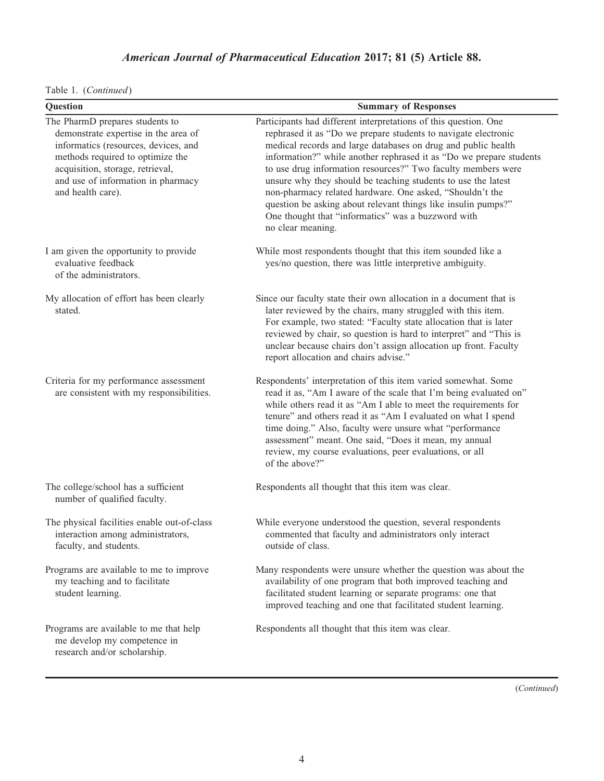Table 1. (Continued)

| Question                                                                                                                                                                                                                                           | <b>Summary of Responses</b>                                                                                                                                                                                                                                                                                                                                                                                                                                                                                                                                                                                         |
|----------------------------------------------------------------------------------------------------------------------------------------------------------------------------------------------------------------------------------------------------|---------------------------------------------------------------------------------------------------------------------------------------------------------------------------------------------------------------------------------------------------------------------------------------------------------------------------------------------------------------------------------------------------------------------------------------------------------------------------------------------------------------------------------------------------------------------------------------------------------------------|
| The PharmD prepares students to<br>demonstrate expertise in the area of<br>informatics (resources, devices, and<br>methods required to optimize the<br>acquisition, storage, retrieval,<br>and use of information in pharmacy<br>and health care). | Participants had different interpretations of this question. One<br>rephrased it as "Do we prepare students to navigate electronic<br>medical records and large databases on drug and public health<br>information?" while another rephrased it as "Do we prepare students<br>to use drug information resources?" Two faculty members were<br>unsure why they should be teaching students to use the latest<br>non-pharmacy related hardware. One asked, "Shouldn't the<br>question be asking about relevant things like insulin pumps?"<br>One thought that "informatics" was a buzzword with<br>no clear meaning. |
| I am given the opportunity to provide<br>evaluative feedback<br>of the administrators.                                                                                                                                                             | While most respondents thought that this item sounded like a<br>yes/no question, there was little interpretive ambiguity.                                                                                                                                                                                                                                                                                                                                                                                                                                                                                           |
| My allocation of effort has been clearly<br>stated.                                                                                                                                                                                                | Since our faculty state their own allocation in a document that is<br>later reviewed by the chairs, many struggled with this item.<br>For example, two stated: "Faculty state allocation that is later<br>reviewed by chair, so question is hard to interpret" and "This is<br>unclear because chairs don't assign allocation up front. Faculty<br>report allocation and chairs advise."                                                                                                                                                                                                                            |
| Criteria for my performance assessment<br>are consistent with my responsibilities.                                                                                                                                                                 | Respondents' interpretation of this item varied somewhat. Some<br>read it as, "Am I aware of the scale that I'm being evaluated on"<br>while others read it as "Am I able to meet the requirements for<br>tenure" and others read it as "Am I evaluated on what I spend<br>time doing." Also, faculty were unsure what "performance<br>assessment" meant. One said, "Does it mean, my annual<br>review, my course evaluations, peer evaluations, or all<br>of the above?"                                                                                                                                           |
| The college/school has a sufficient<br>number of qualified faculty.                                                                                                                                                                                | Respondents all thought that this item was clear.                                                                                                                                                                                                                                                                                                                                                                                                                                                                                                                                                                   |
| The physical facilities enable out-of-class<br>interaction among administrators,<br>faculty, and students.                                                                                                                                         | While everyone understood the question, several respondents<br>commented that faculty and administrators only interact<br>outside of class.                                                                                                                                                                                                                                                                                                                                                                                                                                                                         |
| Programs are available to me to improve<br>my teaching and to facilitate<br>student learning.                                                                                                                                                      | Many respondents were unsure whether the question was about the<br>availability of one program that both improved teaching and<br>facilitated student learning or separate programs: one that<br>improved teaching and one that facilitated student learning.                                                                                                                                                                                                                                                                                                                                                       |
| Programs are available to me that help<br>me develop my competence in<br>research and/or scholarship.                                                                                                                                              | Respondents all thought that this item was clear.                                                                                                                                                                                                                                                                                                                                                                                                                                                                                                                                                                   |

(Continued)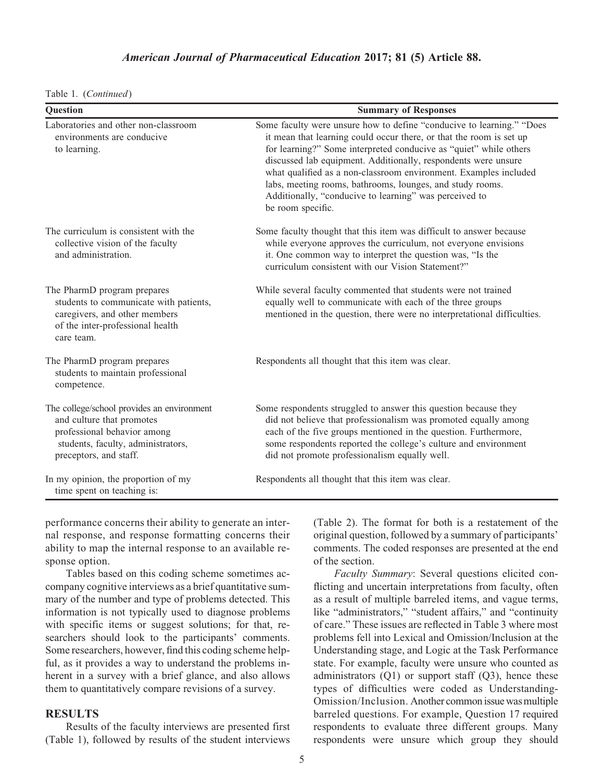| Table 1. | (Continued) |  |
|----------|-------------|--|
|          |             |  |

| Question                                                                                                                                                               | <b>Summary of Responses</b>                                                                                                                                                                                                                                                                                                                                                                                                                                                                         |
|------------------------------------------------------------------------------------------------------------------------------------------------------------------------|-----------------------------------------------------------------------------------------------------------------------------------------------------------------------------------------------------------------------------------------------------------------------------------------------------------------------------------------------------------------------------------------------------------------------------------------------------------------------------------------------------|
| Laboratories and other non-classroom<br>environments are conducive<br>to learning.                                                                                     | Some faculty were unsure how to define "conducive to learning." "Does<br>it mean that learning could occur there, or that the room is set up<br>for learning?" Some interpreted conducive as "quiet" while others<br>discussed lab equipment. Additionally, respondents were unsure<br>what qualified as a non-classroom environment. Examples included<br>labs, meeting rooms, bathrooms, lounges, and study rooms.<br>Additionally, "conducive to learning" was perceived to<br>be room specific. |
| The curriculum is consistent with the<br>collective vision of the faculty<br>and administration.                                                                       | Some faculty thought that this item was difficult to answer because<br>while everyone approves the curriculum, not everyone envisions<br>it. One common way to interpret the question was, "Is the<br>curriculum consistent with our Vision Statement?"                                                                                                                                                                                                                                             |
| The PharmD program prepares<br>students to communicate with patients,<br>caregivers, and other members<br>of the inter-professional health<br>care team.               | While several faculty commented that students were not trained<br>equally well to communicate with each of the three groups<br>mentioned in the question, there were no interpretational difficulties.                                                                                                                                                                                                                                                                                              |
| The PharmD program prepares<br>students to maintain professional<br>competence.                                                                                        | Respondents all thought that this item was clear.                                                                                                                                                                                                                                                                                                                                                                                                                                                   |
| The college/school provides an environment<br>and culture that promotes<br>professional behavior among<br>students, faculty, administrators,<br>preceptors, and staff. | Some respondents struggled to answer this question because they<br>did not believe that professionalism was promoted equally among<br>each of the five groups mentioned in the question. Furthermore,<br>some respondents reported the college's culture and environment<br>did not promote professionalism equally well.                                                                                                                                                                           |
| In my opinion, the proportion of my<br>time spent on teaching is:                                                                                                      | Respondents all thought that this item was clear.                                                                                                                                                                                                                                                                                                                                                                                                                                                   |

performance concerns their ability to generate an internal response, and response formatting concerns their ability to map the internal response to an available response option.

Tables based on this coding scheme sometimes accompany cognitive interviews as a brief quantitative summary of the number and type of problems detected. This information is not typically used to diagnose problems with specific items or suggest solutions; for that, researchers should look to the participants' comments. Some researchers, however, find this coding scheme helpful, as it provides a way to understand the problems inherent in a survey with a brief glance, and also allows them to quantitatively compare revisions of a survey.

### **RESULTS**

Results of the faculty interviews are presented first (Table 1), followed by results of the student interviews (Table 2). The format for both is a restatement of the original question, followed by a summary of participants' comments. The coded responses are presented at the end of the section.

Faculty Summary: Several questions elicited conflicting and uncertain interpretations from faculty, often as a result of multiple barreled items, and vague terms, like "administrators," "student affairs," and "continuity of care." These issues are reflected in Table 3 where most problems fell into Lexical and Omission/Inclusion at the Understanding stage, and Logic at the Task Performance state. For example, faculty were unsure who counted as administrators  $(Q1)$  or support staff  $(Q3)$ , hence these types of difficulties were coded as Understanding-Omission/Inclusion. Another common issue was multiple barreled questions. For example, Question 17 required respondents to evaluate three different groups. Many respondents were unsure which group they should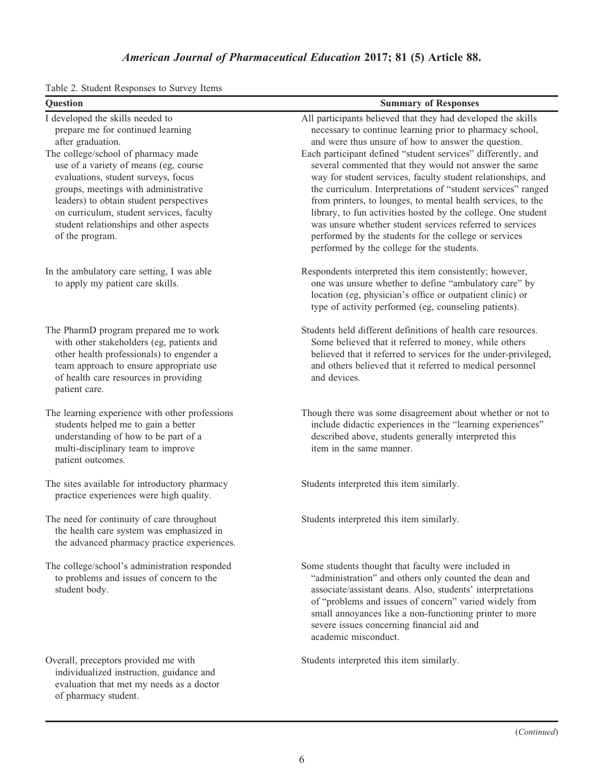|  |  | Table 2. Student Responses to Survey Items |  |  |  |
|--|--|--------------------------------------------|--|--|--|
|--|--|--------------------------------------------|--|--|--|

| Question                                                                                                                                                                                                                                                                                                                                                                                                       | <b>Summary of Responses</b>                                                                                                                                                                                                                                                                                                                                                                                                                                                                                                                                                                                                                                                                                                                  |
|----------------------------------------------------------------------------------------------------------------------------------------------------------------------------------------------------------------------------------------------------------------------------------------------------------------------------------------------------------------------------------------------------------------|----------------------------------------------------------------------------------------------------------------------------------------------------------------------------------------------------------------------------------------------------------------------------------------------------------------------------------------------------------------------------------------------------------------------------------------------------------------------------------------------------------------------------------------------------------------------------------------------------------------------------------------------------------------------------------------------------------------------------------------------|
| I developed the skills needed to<br>prepare me for continued learning<br>after graduation.<br>The college/school of pharmacy made<br>use of a variety of means (eg, course<br>evaluations, student surveys, focus<br>groups, meetings with administrative<br>leaders) to obtain student perspectives<br>on curriculum, student services, faculty<br>student relationships and other aspects<br>of the program. | All participants believed that they had developed the skills<br>necessary to continue learning prior to pharmacy school,<br>and were thus unsure of how to answer the question.<br>Each participant defined "student services" differently, and<br>several commented that they would not answer the same<br>way for student services, faculty student relationships, and<br>the curriculum. Interpretations of "student services" ranged<br>from printers, to lounges, to mental health services, to the<br>library, to fun activities hosted by the college. One student<br>was unsure whether student services referred to services<br>performed by the students for the college or services<br>performed by the college for the students. |
| In the ambulatory care setting, I was able<br>to apply my patient care skills.                                                                                                                                                                                                                                                                                                                                 | Respondents interpreted this item consistently; however,<br>one was unsure whether to define "ambulatory care" by<br>location (eg, physician's office or outpatient clinic) or<br>type of activity performed (eg, counseling patients).                                                                                                                                                                                                                                                                                                                                                                                                                                                                                                      |
| The PharmD program prepared me to work<br>with other stakeholders (eg, patients and<br>other health professionals) to engender a<br>team approach to ensure appropriate use<br>of health care resources in providing<br>patient care.                                                                                                                                                                          | Students held different definitions of health care resources.<br>Some believed that it referred to money, while others<br>believed that it referred to services for the under-privileged,<br>and others believed that it referred to medical personnel<br>and devices.                                                                                                                                                                                                                                                                                                                                                                                                                                                                       |
| The learning experience with other professions<br>students helped me to gain a better<br>understanding of how to be part of a<br>multi-disciplinary team to improve<br>patient outcomes.                                                                                                                                                                                                                       | Though there was some disagreement about whether or not to<br>include didactic experiences in the "learning experiences"<br>described above, students generally interpreted this<br>item in the same manner.                                                                                                                                                                                                                                                                                                                                                                                                                                                                                                                                 |
| The sites available for introductory pharmacy<br>practice experiences were high quality.                                                                                                                                                                                                                                                                                                                       | Students interpreted this item similarly.                                                                                                                                                                                                                                                                                                                                                                                                                                                                                                                                                                                                                                                                                                    |
| The need for continuity of care throughout<br>the health care system was emphasized in<br>the advanced pharmacy practice experiences.                                                                                                                                                                                                                                                                          | Students interpreted this item similarly.                                                                                                                                                                                                                                                                                                                                                                                                                                                                                                                                                                                                                                                                                                    |
| The college/school's administration responded<br>to problems and issues of concern to the<br>student body.                                                                                                                                                                                                                                                                                                     | Some students thought that faculty were included in<br>"administration" and others only counted the dean and<br>associate/assistant deans. Also, students' interpretations<br>of "problems and issues of concern" varied widely from<br>small annoyances like a non-functioning printer to more<br>severe issues concerning financial aid and<br>academic misconduct.                                                                                                                                                                                                                                                                                                                                                                        |
| Overall, preceptors provided me with<br>individualized instruction, guidance and<br>evaluation that met my needs as a doctor<br>of pharmacy student.                                                                                                                                                                                                                                                           | Students interpreted this item similarly.                                                                                                                                                                                                                                                                                                                                                                                                                                                                                                                                                                                                                                                                                                    |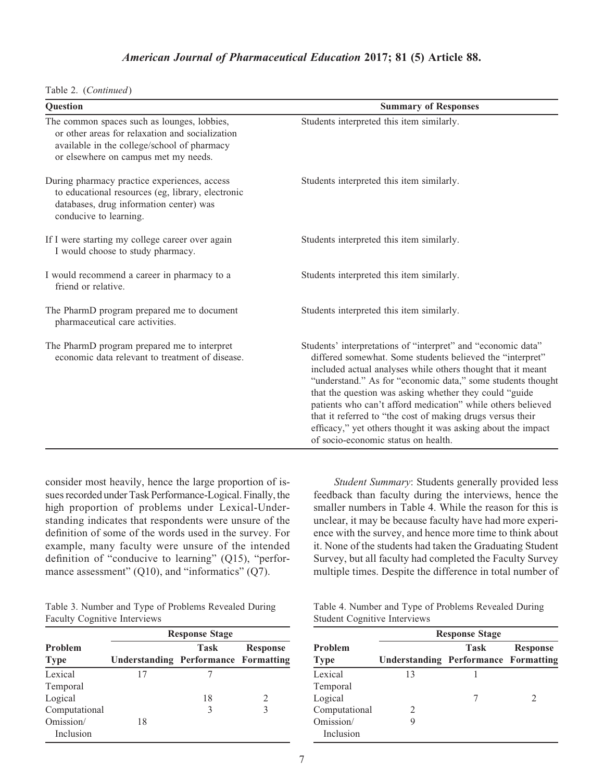|  | Table 2. (Continued) |
|--|----------------------|
|--|----------------------|

| Question                                                                                                                                                                              | <b>Summary of Responses</b>                                                                                                                                                                                                                                                                                                                                                                                                                                                                                                                           |  |  |
|---------------------------------------------------------------------------------------------------------------------------------------------------------------------------------------|-------------------------------------------------------------------------------------------------------------------------------------------------------------------------------------------------------------------------------------------------------------------------------------------------------------------------------------------------------------------------------------------------------------------------------------------------------------------------------------------------------------------------------------------------------|--|--|
| The common spaces such as lounges, lobbies,<br>or other areas for relaxation and socialization<br>available in the college/school of pharmacy<br>or elsewhere on campus met my needs. | Students interpreted this item similarly.                                                                                                                                                                                                                                                                                                                                                                                                                                                                                                             |  |  |
| During pharmacy practice experiences, access<br>to educational resources (eg, library, electronic<br>databases, drug information center) was<br>conducive to learning.                | Students interpreted this item similarly.                                                                                                                                                                                                                                                                                                                                                                                                                                                                                                             |  |  |
| If I were starting my college career over again<br>I would choose to study pharmacy.                                                                                                  | Students interpreted this item similarly.                                                                                                                                                                                                                                                                                                                                                                                                                                                                                                             |  |  |
| I would recommend a career in pharmacy to a<br>friend or relative.                                                                                                                    | Students interpreted this item similarly.                                                                                                                                                                                                                                                                                                                                                                                                                                                                                                             |  |  |
| The PharmD program prepared me to document<br>pharmaceutical care activities.                                                                                                         | Students interpreted this item similarly.                                                                                                                                                                                                                                                                                                                                                                                                                                                                                                             |  |  |
| The PharmD program prepared me to interpret<br>economic data relevant to treatment of disease.                                                                                        | Students' interpretations of "interpret" and "economic data"<br>differed somewhat. Some students believed the "interpret"<br>included actual analyses while others thought that it meant<br>"understand." As for "economic data," some students thought<br>that the question was asking whether they could "guide<br>patients who can't afford medication" while others believed<br>that it referred to "the cost of making drugs versus their<br>efficacy," yet others thought it was asking about the impact<br>of socio-economic status on health. |  |  |

consider most heavily, hence the large proportion of issues recorded under Task Performance-Logical. Finally,the high proportion of problems under Lexical-Understanding indicates that respondents were unsure of the definition of some of the words used in the survey. For example, many faculty were unsure of the intended definition of "conducive to learning" (Q15), "performance assessment" (Q10), and "informatics" (Q7).

Table 3. Number and Type of Problems Revealed During Faculty Cognitive Interviews

|                               | <b>Response Stage</b>                       |      |                 |  |  |
|-------------------------------|---------------------------------------------|------|-----------------|--|--|
| <b>Problem</b><br><b>Type</b> | <b>Understanding Performance Formatting</b> | Task | <b>Response</b> |  |  |
| Lexical                       | 17                                          |      |                 |  |  |
| Temporal                      |                                             |      |                 |  |  |
| Logical                       |                                             | 18   | 2               |  |  |
| Computational                 |                                             | 3    |                 |  |  |
| Omission/                     | 18                                          |      |                 |  |  |
| Inclusion                     |                                             |      |                 |  |  |

Student Summary: Students generally provided less feedback than faculty during the interviews, hence the smaller numbers in Table 4. While the reason for this is unclear, it may be because faculty have had more experience with the survey, and hence more time to think about it. None of the students had taken the Graduating Student Survey, but all faculty had completed the Faculty Survey multiple times. Despite the difference in total number of

|                                     |  | Table 4. Number and Type of Problems Revealed During |  |
|-------------------------------------|--|------------------------------------------------------|--|
| <b>Student Cognitive Interviews</b> |  |                                                      |  |

|                | <b>Response Stage</b>                       |             |                 |  |  |
|----------------|---------------------------------------------|-------------|-----------------|--|--|
| <b>Problem</b> |                                             | <b>Task</b> | <b>Response</b> |  |  |
| <b>Type</b>    | <b>Understanding Performance Formatting</b> |             |                 |  |  |
| Lexical        | 13                                          |             |                 |  |  |
| Temporal       |                                             |             |                 |  |  |
| Logical        |                                             |             |                 |  |  |
| Computational  | $\mathcal{D}_{\mathcal{L}}$                 |             |                 |  |  |
| Omission/      | 9                                           |             |                 |  |  |
| Inclusion      |                                             |             |                 |  |  |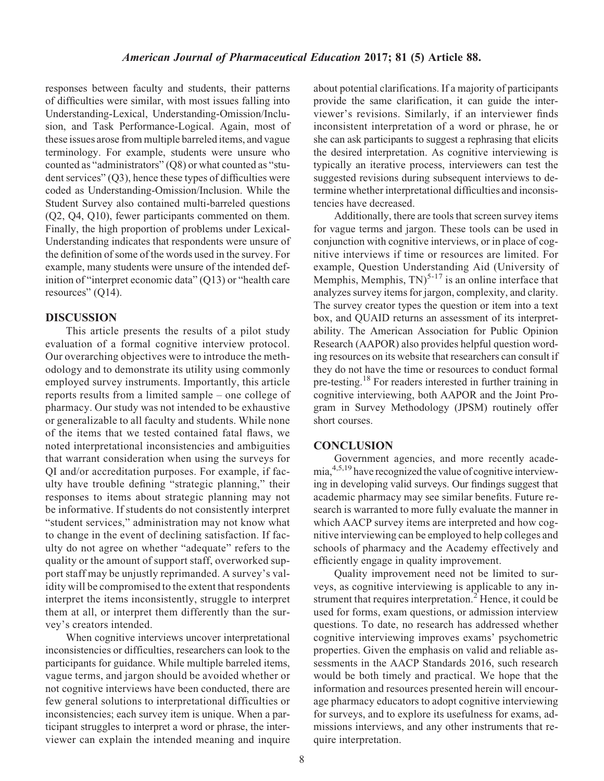responses between faculty and students, their patterns of difficulties were similar, with most issues falling into Understanding-Lexical, Understanding-Omission/Inclusion, and Task Performance-Logical. Again, most of these issues arose from multiple barreled items, and vague terminology. For example, students were unsure who counted as "administrators" (Q8) or what counted as "student services" (Q3), hence these types of difficulties were coded as Understanding-Omission/Inclusion. While the Student Survey also contained multi-barreled questions (Q2, Q4, Q10), fewer participants commented on them. Finally, the high proportion of problems under Lexical-Understanding indicates that respondents were unsure of the definition of some of the words used in the survey. For example, many students were unsure of the intended definition of "interpret economic data" (Q13) or "health care resources" (Q14).

#### DISCUSSION

This article presents the results of a pilot study evaluation of a formal cognitive interview protocol. Our overarching objectives were to introduce the methodology and to demonstrate its utility using commonly employed survey instruments. Importantly, this article reports results from a limited sample – one college of pharmacy. Our study was not intended to be exhaustive or generalizable to all faculty and students. While none of the items that we tested contained fatal flaws, we noted interpretational inconsistencies and ambiguities that warrant consideration when using the surveys for QI and/or accreditation purposes. For example, if faculty have trouble defining "strategic planning," their responses to items about strategic planning may not be informative. If students do not consistently interpret "student services," administration may not know what to change in the event of declining satisfaction. If faculty do not agree on whether "adequate" refers to the quality or the amount of support staff, overworked support staff may be unjustly reprimanded. A survey's validity will be compromised to the extent that respondents interpret the items inconsistently, struggle to interpret them at all, or interpret them differently than the survey's creators intended.

When cognitive interviews uncover interpretational inconsistencies or difficulties, researchers can look to the participants for guidance. While multiple barreled items, vague terms, and jargon should be avoided whether or not cognitive interviews have been conducted, there are few general solutions to interpretational difficulties or inconsistencies; each survey item is unique. When a participant struggles to interpret a word or phrase, the interviewer can explain the intended meaning and inquire about potential clarifications. If a majority of participants provide the same clarification, it can guide the interviewer's revisions. Similarly, if an interviewer finds inconsistent interpretation of a word or phrase, he or she can ask participants to suggest a rephrasing that elicits the desired interpretation. As cognitive interviewing is typically an iterative process, interviewers can test the suggested revisions during subsequent interviews to determine whether interpretational difficulties and inconsistencies have decreased.

Additionally, there are tools that screen survey items for vague terms and jargon. These tools can be used in conjunction with cognitive interviews, or in place of cognitive interviews if time or resources are limited. For example, Question Understanding Aid (University of Memphis, Memphis,  $TN$ <sup>5-17</sup> is an online interface that analyzes survey items for jargon, complexity, and clarity. The survey creator types the question or item into a text box, and QUAID returns an assessment of its interpretability. The American Association for Public Opinion Research (AAPOR) also provides helpful question wording resources on its website that researchers can consult if they do not have the time or resources to conduct formal pre-testing.18 For readers interested in further training in cognitive interviewing, both AAPOR and the Joint Program in Survey Methodology (JPSM) routinely offer short courses.

#### **CONCLUSION**

Government agencies, and more recently academia,4,5,19 have recognized the value of cognitive interviewing in developing valid surveys. Our findings suggest that academic pharmacy may see similar benefits. Future research is warranted to more fully evaluate the manner in which AACP survey items are interpreted and how cognitive interviewing can be employed to help colleges and schools of pharmacy and the Academy effectively and efficiently engage in quality improvement.

Quality improvement need not be limited to surveys, as cognitive interviewing is applicable to any instrument that requires interpretation.<sup>2</sup> Hence, it could be used for forms, exam questions, or admission interview questions. To date, no research has addressed whether cognitive interviewing improves exams' psychometric properties. Given the emphasis on valid and reliable assessments in the AACP Standards 2016, such research would be both timely and practical. We hope that the information and resources presented herein will encourage pharmacy educators to adopt cognitive interviewing for surveys, and to explore its usefulness for exams, admissions interviews, and any other instruments that require interpretation.